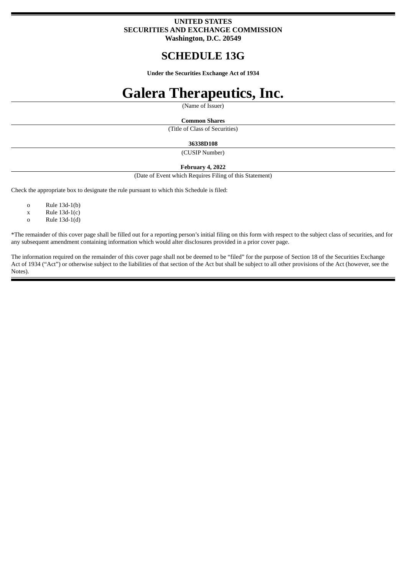# **UNITED STATES SECURITIES AND EXCHANGE COMMISSION Washington, D.C. 20549**

# **SCHEDULE 13G**

**Under the Securities Exchange Act of 1934**

# **Galera Therapeutics, Inc.**

(Name of Issuer)

#### **Common Shares**

(Title of Class of Securities)

### **36338D108**

(CUSIP Number)

#### **February 4, 2022**

(Date of Event which Requires Filing of this Statement)

Check the appropriate box to designate the rule pursuant to which this Schedule is filed:

o Rule 13d-1(b)

- $x$  Rule 13d-1(c)
- o Rule 13d-1(d)

\*The remainder of this cover page shall be filled out for a reporting person's initial filing on this form with respect to the subject class of securities, and for any subsequent amendment containing information which would alter disclosures provided in a prior cover page.

The information required on the remainder of this cover page shall not be deemed to be "filed" for the purpose of Section 18 of the Securities Exchange Act of 1934 ("Act") or otherwise subject to the liabilities of that section of the Act but shall be subject to all other provisions of the Act (however, see the Notes).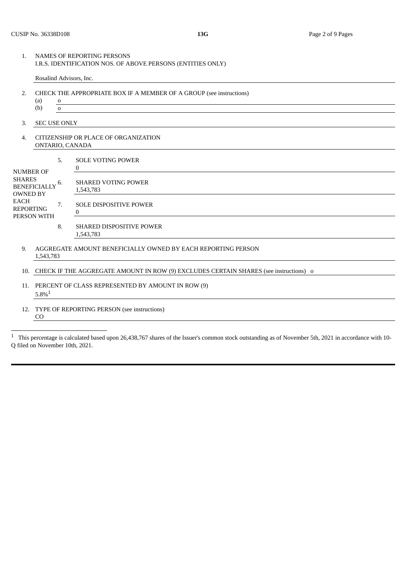Rosalind Advisors, Inc.

- 2. CHECK THE APPROPRIATE BOX IF A MEMBER OF A GROUP (see instructions) (a) o
	- (b) o
- 3. SEC USE ONLY
- 4. CITIZENSHIP OR PLACE OF ORGANIZATION ONTARIO, CANADA

1,543,783

| <b>NUMBER OF</b><br><b>SHARES</b><br><b>BENEFICIALLY</b><br><b>OWNED BY</b><br><b>EACH</b><br><b>REPORTING</b><br>PERSON WITH | 5. | <b>SOLE VOTING POWER</b>                |
|-------------------------------------------------------------------------------------------------------------------------------|----|-----------------------------------------|
|                                                                                                                               | b. | <b>SHARED VOTING POWER</b><br>1,543,783 |
|                                                                                                                               | 7. | <b>SOLE DISPOSITIVE POWER</b>           |
|                                                                                                                               | 8. | <b>SHARED DISPOSITIVE POWER</b>         |

- 9. AGGREGATE AMOUNT BENEFICIALLY OWNED BY EACH REPORTING PERSON 1,543,783
- 10. CHECK IF THE AGGREGATE AMOUNT IN ROW (9) EXCLUDES CERTAIN SHARES (see instructions) o
- 11. PERCENT OF CLASS REPRESENTED BY AMOUNT IN ROW (9)  $5.8\% ^{\rm 1}$
- 12. TYPE OF REPORTING PERSON (see instructions) CO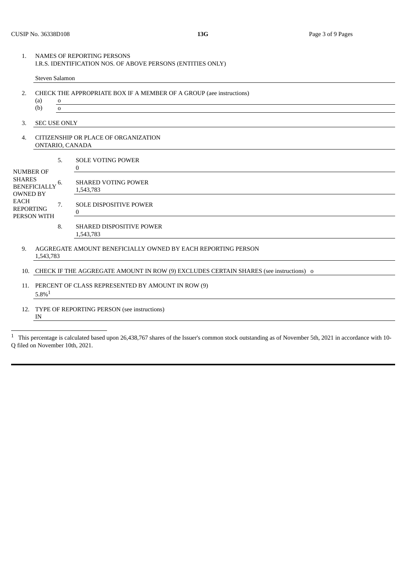Steven Salamon

- 2. CHECK THE APPROPRIATE BOX IF A MEMBER OF A GROUP (aee instructions) (a) o (b) o
- 3. SEC USE ONLY
- 4. CITIZENSHIP OR PLACE OF ORGANIZATION ONTARIO, CANADA

1,543,783

| <b>NUMBER OF</b><br><b>SHARES</b><br><b>BENEFICIALLY</b><br><b>OWNED BY</b><br>EACH<br><b>REPORTING</b><br>PERSON WITH | 5.         | <b>SOLE VOTING POWER</b>                |
|------------------------------------------------------------------------------------------------------------------------|------------|-----------------------------------------|
|                                                                                                                        | b.         | <b>SHARED VOTING POWER</b><br>1,543,783 |
|                                                                                                                        | $\prime$ . | <b>SOLE DISPOSITIVE POWER</b>           |
|                                                                                                                        | 8.         | <b>SHARED DISPOSITIVE POWER</b>         |

- 9. AGGREGATE AMOUNT BENEFICIALLY OWNED BY EACH REPORTING PERSON 1,543,783
- 10. CHECK IF THE AGGREGATE AMOUNT IN ROW (9) EXCLUDES CERTAIN SHARES (see instructions) o
- 11. PERCENT OF CLASS REPRESENTED BY AMOUNT IN ROW (9)  $5.8\%$ <sup>1</sup>
- 12. TYPE OF REPORTING PERSON (see instructions) IN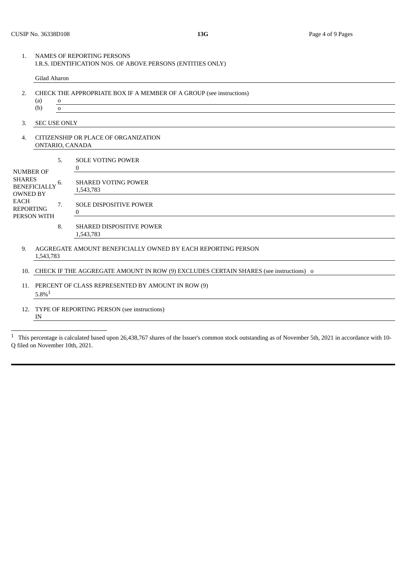Gilad Aharon

- 2. CHECK THE APPROPRIATE BOX IF A MEMBER OF A GROUP (see instructions) (a) o (b) o
- 3. SEC USE ONLY
- 4. CITIZENSHIP OR PLACE OF ORGANIZATION ONTARIO, CANADA

1,543,783

| <b>NUMBER OF</b><br><b>SHARES</b><br><b>BENEFICIALLY</b><br><b>OWNED BY</b><br><b>EACH</b><br><b>REPORTING</b><br>PERSON WITH | 5. | <b>SOLE VOTING POWER</b>                |
|-------------------------------------------------------------------------------------------------------------------------------|----|-----------------------------------------|
|                                                                                                                               | ხ. | <b>SHARED VOTING POWER</b><br>1,543,783 |
|                                                                                                                               | 7. | <b>SOLE DISPOSITIVE POWER</b><br>0      |
|                                                                                                                               | 8. | <b>SHARED DISPOSITIVE POWER</b>         |

- 9. AGGREGATE AMOUNT BENEFICIALLY OWNED BY EACH REPORTING PERSON 1,543,783
- 10. CHECK IF THE AGGREGATE AMOUNT IN ROW (9) EXCLUDES CERTAIN SHARES (see instructions) o
- 11. PERCENT OF CLASS REPRESENTED BY AMOUNT IN ROW (9)  $5.8\%$ <sup>1</sup>
- 12. TYPE OF REPORTING PERSON (see instructions) IN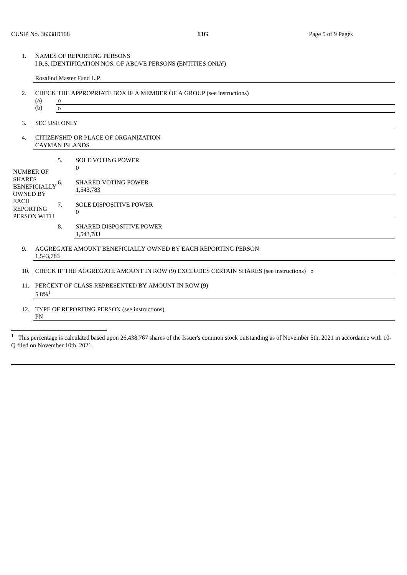Rosalind Master Fund L.P.

- 2. CHECK THE APPROPRIATE BOX IF A MEMBER OF A GROUP (see instructions) (a) o
	- (b) o
- 3. SEC USE ONLY
- 4. CITIZENSHIP OR PLACE OF ORGANIZATION CAYMAN ISLANDS

| <b>NUMBER OF</b><br>SHARES<br><b>BENEFICIALLY</b><br><b>OWNED BY</b><br>EACH<br><b>REPORTING</b><br>PERSON WITH | .כ | <b>SOLE VOTING POWER</b>                  |
|-----------------------------------------------------------------------------------------------------------------|----|-------------------------------------------|
|                                                                                                                 | ь. | <b>SHARED VOTING POWER</b><br>1,543,783   |
|                                                                                                                 | 7. | <b>SOLE DISPOSITIVE POWER</b><br>$\theta$ |
|                                                                                                                 | 8. | <b>SHARED DISPOSITIVE POWER</b>           |

- 9. AGGREGATE AMOUNT BENEFICIALLY OWNED BY EACH REPORTING PERSON 1,543,783
- 10. CHECK IF THE AGGREGATE AMOUNT IN ROW (9) EXCLUDES CERTAIN SHARES (see instructions) o
- 11. PERCENT OF CLASS REPRESENTED BY AMOUNT IN ROW (9)  $5.8\% ^{\rm 1}$
- 12. TYPE OF REPORTING PERSON (see instructions) PN

1,543,783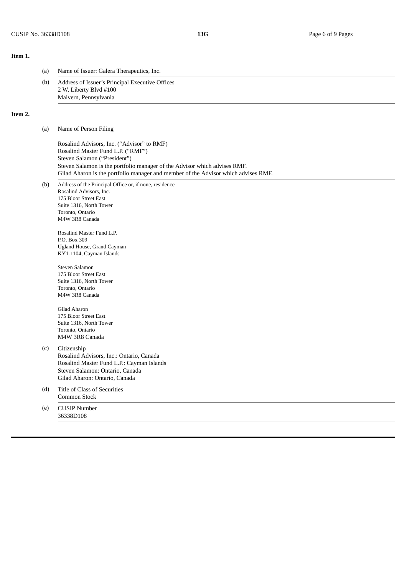## **Item 1.**

**Item 2.**

| (a) | Name of Issuer: Galera Therapeutics, Inc.                                                                                                                                                                                                                                          |  |  |  |  |
|-----|------------------------------------------------------------------------------------------------------------------------------------------------------------------------------------------------------------------------------------------------------------------------------------|--|--|--|--|
| (b) | Address of Issuer's Principal Executive Offices<br>2 W. Liberty Blvd #100<br>Malvern, Pennsylvania                                                                                                                                                                                 |  |  |  |  |
|     |                                                                                                                                                                                                                                                                                    |  |  |  |  |
| (a) | Name of Person Filing                                                                                                                                                                                                                                                              |  |  |  |  |
|     | Rosalind Advisors, Inc. ("Advisor" to RMF)<br>Rosalind Master Fund L.P. ("RMF")<br>Steven Salamon ("President")<br>Steven Salamon is the portfolio manager of the Advisor which advises RMF.<br>Gilad Aharon is the portfolio manager and member of the Advisor which advises RMF. |  |  |  |  |
| (b) | Address of the Principal Office or, if none, residence<br>Rosalind Advisors, Inc.<br>175 Bloor Street East<br>Suite 1316, North Tower<br>Toronto, Ontario<br>M4W 3R8 Canada                                                                                                        |  |  |  |  |
|     | Rosalind Master Fund L.P.<br>P.O. Box 309<br>Ugland House, Grand Cayman<br>KY1-1104, Cayman Islands                                                                                                                                                                                |  |  |  |  |
|     | Steven Salamon<br>175 Bloor Street East<br>Suite 1316, North Tower<br>Toronto, Ontario<br>M4W 3R8 Canada                                                                                                                                                                           |  |  |  |  |
|     | Gilad Aharon<br>175 Bloor Street East<br>Suite 1316, North Tower<br>Toronto, Ontario<br>M4W 3R8 Canada                                                                                                                                                                             |  |  |  |  |
| (c) | Citizenship<br>Rosalind Advisors, Inc.: Ontario, Canada<br>Rosalind Master Fund L.P.: Cayman Islands<br>Steven Salamon: Ontario, Canada<br>Gilad Aharon: Ontario, Canada                                                                                                           |  |  |  |  |
| (d) | Title of Class of Securities<br>Common Stock                                                                                                                                                                                                                                       |  |  |  |  |
| (e) | <b>CUSIP Number</b><br>36338D108                                                                                                                                                                                                                                                   |  |  |  |  |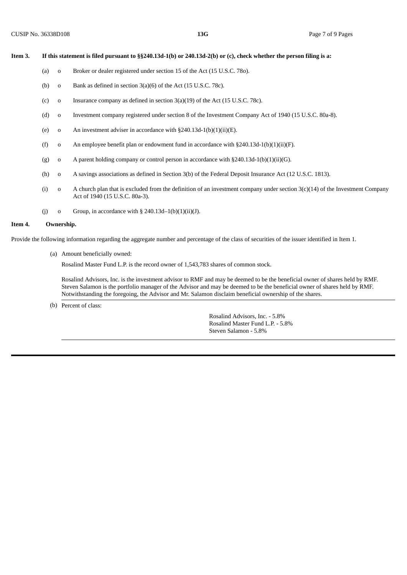#### Item 3. If this statement is filed pursuant to §§240.13d-1(b) or 240.13d-2(b) or (c), check whether the person filing is a:

- (a) o Broker or dealer registered under section 15 of the Act (15 U.S.C. 78o).
- (b) o Bank as defined in section  $3(a)(6)$  of the Act (15 U.S.C. 78c).
- (c) o Insurance company as defined in section 3(a)(19) of the Act (15 U.S.C. 78c).
- (d) o Investment company registered under section 8 of the Investment Company Act of 1940 (15 U.S.C. 80a-8).
- (e) o An investment adviser in accordance with  $\S240.13d-1(b)(1)(ii)(E)$ .
- (f) o An employee benefit plan or endowment fund in accordance with  $\S 240.13d-1(b)(1)(ii)(F)$ .
- (g) o A parent holding company or control person in accordance with  $\S 240.13d-1(b)(1)(ii)(G)$ .
- (h) o A savings associations as defined in Section 3(b) of the Federal Deposit Insurance Act (12 U.S.C. 1813).
- (i) o A church plan that is excluded from the definition of an investment company under section 3(c)(14) of the Investment Company Act of 1940 (15 U.S.C. 80a-3).
- (i) o Group, in accordance with  $\S$  240.13d–1(b)(1)(ii)(J).

#### **Item 4. Ownership.**

Provide the following information regarding the aggregate number and percentage of the class of securities of the issuer identified in Item 1.

(a) Amount beneficially owned:

Rosalind Master Fund L.P. is the record owner of 1,543,783 shares of common stock.

Rosalind Advisors, Inc. is the investment advisor to RMF and may be deemed to be the beneficial owner of shares held by RMF. Steven Salamon is the portfolio manager of the Advisor and may be deemed to be the beneficial owner of shares held by RMF. Notwithstanding the foregoing, the Advisor and Mr. Salamon disclaim beneficial ownership of the shares.

(b) Percent of class:

Rosalind Advisors, Inc. - 5.8% Rosalind Master Fund L.P. - 5.8% Steven Salamon - 5.8%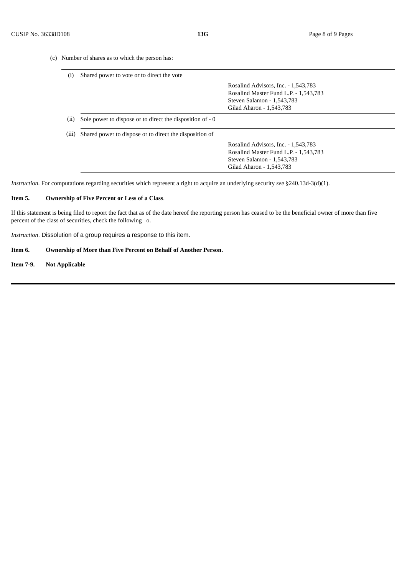(c) Number of shares as to which the person has:

| (i)                        | Shared power to vote or to direct the vote                |                                       |  |
|----------------------------|-----------------------------------------------------------|---------------------------------------|--|
|                            |                                                           | Rosalind Advisors, Inc. - 1,543,783   |  |
|                            |                                                           | Rosalind Master Fund L.P. - 1,543,783 |  |
|                            |                                                           | Steven Salamon - 1,543,783            |  |
|                            |                                                           | Gilad Aharon - 1,543,783              |  |
|                            |                                                           |                                       |  |
| $\left( \text{ii} \right)$ | Sole power to dispose or to direct the disposition of - 0 |                                       |  |
|                            | Shared power to dispose or to direct the disposition of   |                                       |  |
|                            |                                                           | Rosalind Advisors, Inc. - 1,543,783   |  |
| (iii)                      |                                                           | Rosalind Master Fund L.P. - 1,543,783 |  |
|                            |                                                           | Steven Salamon - 1,543,783            |  |

*Instruction*. For computations regarding securities which represent a right to acquire an underlying security *see* §240.13d-3(d)(1).

#### **Item 5. Ownership of Five Percent or Less of a Class**.

If this statement is being filed to report the fact that as of the date hereof the reporting person has ceased to be the beneficial owner of more than five percent of the class of securities, check the following o.

*Instruction*. Dissolution of a group requires a response to this item.

#### **Item 6. Ownership of More than Five Percent on Behalf of Another Person.**

#### **Item 7-9. Not Applicable**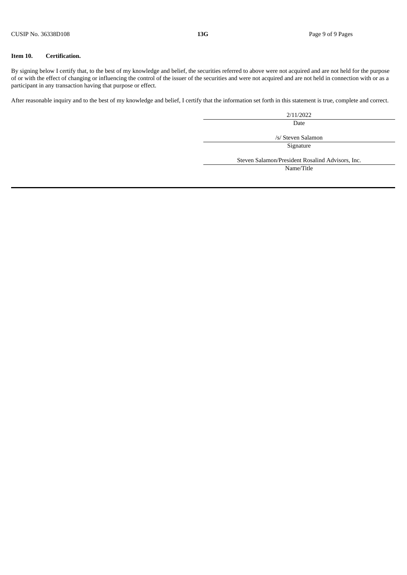#### **Item 10. Certification.**

By signing below I certify that, to the best of my knowledge and belief, the securities referred to above were not acquired and are not held for the purpose of or with the effect of changing or influencing the control of the issuer of the securities and were not acquired and are not held in connection with or as a participant in any transaction having that purpose or effect.

After reasonable inquiry and to the best of my knowledge and belief, I certify that the information set forth in this statement is true, complete and correct.

2/11/2022

Date

/s/ Steven Salamon

Signature

Steven Salamon/President Rosalind Advisors, Inc.

Name/Title